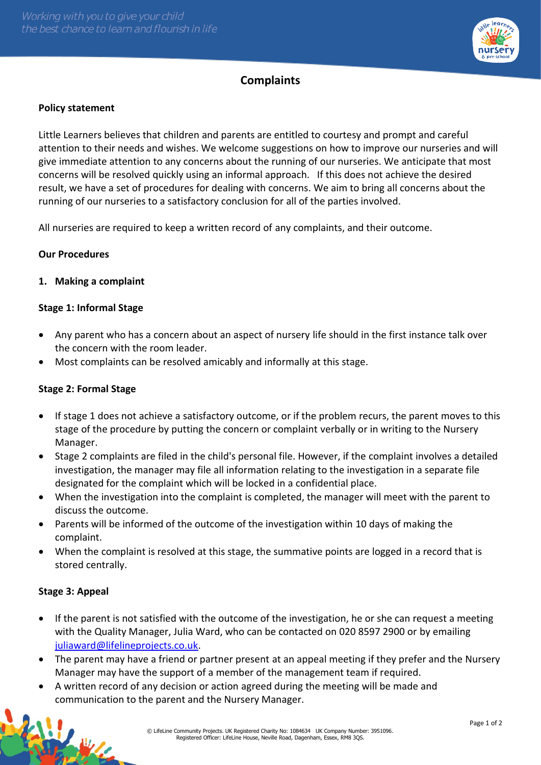

# **Complaints**

### **Policy statement**

Little Learners believes that children and parents are entitled to courtesy and prompt and careful attention to their needs and wishes. We welcome suggestions on how to improve our nurseries and will give immediate attention to any concerns about the running of our nurseries. We anticipate that most concerns will be resolved quickly using an informal approach. If this does not achieve the desired result, we have a set of procedures for dealing with concerns. We aim to bring all concerns about the running of our nurseries to a satisfactory conclusion for all of the parties involved.

All nurseries are required to keep a written record of any complaints, and their outcome.

### **Our Procedures**

### **1. Making a complaint**

### **Stage 1: Informal Stage**

- Any parent who has a concern about an aspect of nursery life should in the first instance talk over the concern with the room leader.
- Most complaints can be resolved amicably and informally at this stage.

### **Stage 2: Formal Stage**

- If stage 1 does not achieve a satisfactory outcome, or if the problem recurs, the parent moves to this stage of the procedure by putting the concern or complaint verbally or in writing to the Nursery Manager.
- Stage 2 complaints are filed in the child's personal file. However, if the complaint involves a detailed investigation, the manager may file all information relating to the investigation in a separate file designated for the complaint which will be locked in a confidential place.
- When the investigation into the complaint is completed, the manager will meet with the parent to discuss the outcome.
- Parents will be informed of the outcome of the investigation within 10 days of making the complaint.
- When the complaint is resolved at this stage, the summative points are logged in a record that is stored centrally.

#### **Stage 3: Appeal**

- If the parent is not satisfied with the outcome of the investigation, he or she can request a meeting with the Quality Manager, Julia Ward, who can be contacted on 020 8597 2900 or by emailing [juliaward@lifelineprojects.co.uk.](mailto:juliaward@lifelineprojects.co.uk)
- The parent may have a friend or partner present at an appeal meeting if they prefer and the Nursery Manager may have the support of a member of the management team if required.
- A written record of any decision or action agreed during the meeting will be made and communication to the parent and the Nursery Manager.